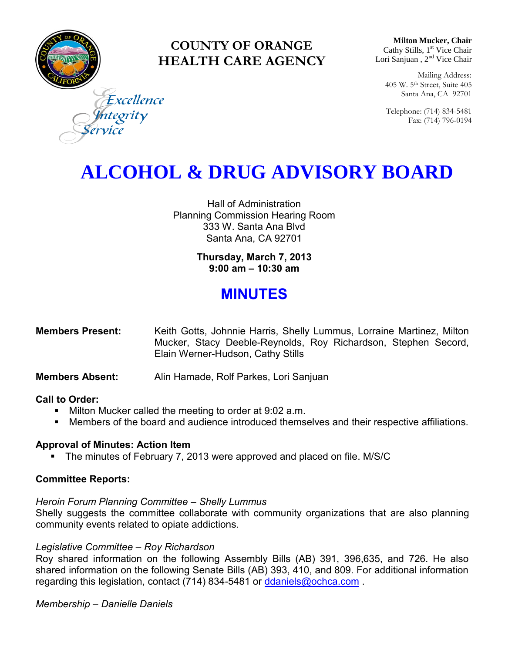

### **COUNTY OF ORANGE HEALTH CARE AGENCY**

**Milton Mucker, Chair** Cathy Stills, 1<sup>st</sup> Vice Chair Lori Sanjuan, 2<sup>nd</sup> Vice Chair

Mailing Address: 405 W. 5th Street, Suite 405 Santa Ana, CA 92701

Telephone: (714) 834-5481 Fax: (714) 796-0194

Excellence tegrity

## **ALCOHOL & DRUG ADVISORY BOARD**

Hall of Administration Planning Commission Hearing Room 333 W. Santa Ana Blvd Santa Ana, CA 92701

> **Thursday, March 7, 2013 9:00 am – 10:30 am**

### **MINUTES**

| <b>Members Present:</b> | Keith Gotts, Johnnie Harris, Shelly Lummus, Lorraine Martinez, Milton |
|-------------------------|-----------------------------------------------------------------------|
|                         | Mucker, Stacy Deeble-Reynolds, Roy Richardson, Stephen Secord,        |
|                         | Elain Werner-Hudson, Cathy Stills                                     |

#### **Members Absent:** Alin Hamade, Rolf Parkes, Lori Sanjuan

#### **Call to Order:**

- **Milton Mucker called the meeting to order at 9:02 a.m.**
- Members of the board and audience introduced themselves and their respective affiliations.

#### **Approval of Minutes: Action Item**

• The minutes of February 7, 2013 were approved and placed on file. M/S/C

#### **Committee Reports:**

#### *Heroin Forum Planning Committee – Shelly Lummus*

Shelly suggests the committee collaborate with community organizations that are also planning community events related to opiate addictions.

#### *Legislative Committee – Roy Richardson*

Roy shared information on the following Assembly Bills (AB) 391, 396,635, and 726. He also shared information on the following Senate Bills (AB) 393, 410, and 809. For additional information regarding this legislation, contact (714) 834-5481 or [ddaniels@ochca.com](mailto:ddaniels@ochca.com).

*Membership – Danielle Daniels*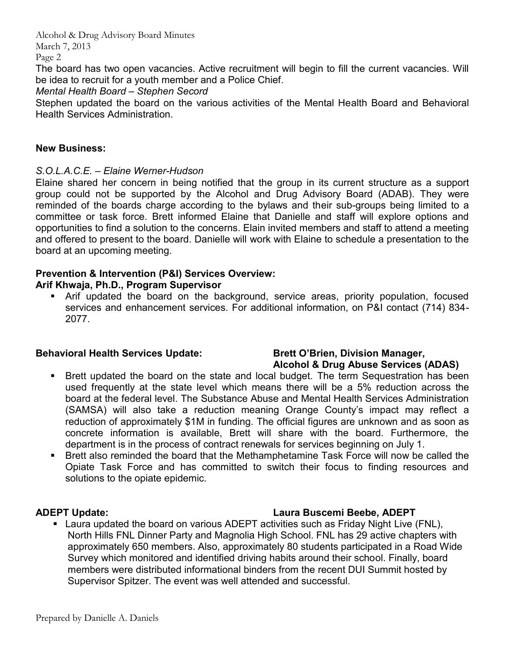Alcohol & Drug Advisory Board Minutes

March 7, 2013

Page 2

The board has two open vacancies. Active recruitment will begin to fill the current vacancies. Will be idea to recruit for a youth member and a Police Chief.

*Mental Health Board – Stephen Secord* 

Stephen updated the board on the various activities of the Mental Health Board and Behavioral Health Services Administration.

#### **New Business:**

#### *S.O.L.A.C.E. – Elaine Werner-Hudson*

Elaine shared her concern in being notified that the group in its current structure as a support group could not be supported by the Alcohol and Drug Advisory Board (ADAB). They were reminded of the boards charge according to the bylaws and their sub-groups being limited to a committee or task force. Brett informed Elaine that Danielle and staff will explore options and opportunities to find a solution to the concerns. Elain invited members and staff to attend a meeting and offered to present to the board. Danielle will work with Elaine to schedule a presentation to the board at an upcoming meeting.

#### **Prevention & Intervention (P&I) Services Overview: Arif Khwaja, Ph.D., Program Supervisor**

 Arif updated the board on the background, service areas, priority population, focused services and enhancement services. For additional information, on P&I contact (714) 834- 2077.

#### Behavioral Health Services Update: Brett O'Brien, Division Manager,

# **Alcohol & Drug Abuse Services (ADAS)**

- Brett updated the board on the state and local budget. The term Sequestration has been used frequently at the state level which means there will be a 5% reduction across the board at the federal level. The Substance Abuse and Mental Health Services Administration (SAMSA) will also take a reduction meaning Orange County's impact may reflect a reduction of approximately \$1M in funding. The official figures are unknown and as soon as concrete information is available, Brett will share with the board. Furthermore, the department is in the process of contract renewals for services beginning on July 1.
- Brett also reminded the board that the Methamphetamine Task Force will now be called the Opiate Task Force and has committed to switch their focus to finding resources and solutions to the opiate epidemic.

#### **ADEPT Update: Laura Buscemi Beebe, ADEPT**

 Laura updated the board on various ADEPT activities such as Friday Night Live (FNL), North Hills FNL Dinner Party and Magnolia High School. FNL has 29 active chapters with approximately 650 members. Also, approximately 80 students participated in a Road Wide Survey which monitored and identified driving habits around their school. Finally, board members were distributed informational binders from the recent DUI Summit hosted by Supervisor Spitzer. The event was well attended and successful.